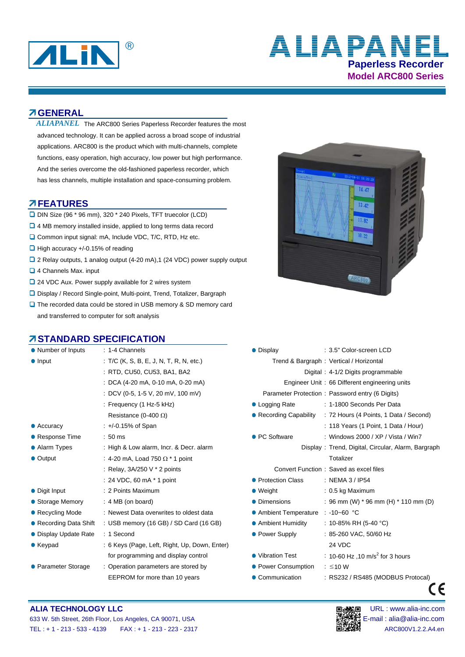

# **Paperless Recorder Model ARC800 Series ALIAPANEL**

### **GENERAL**

ALIAPANEL The ARC800 Series Paperless Recorder features the most advanced technology. It can be applied across a broad scope of industrial applications. ARC800 is the product which with multi-channels, complete functions, easy operation, high accuracy, low power but high performance. And the series overcome the old-fashioned paperless recorder, which has less channels, multiple installation and space-consuming problem.

### **FEATURES**

- DIN Size (96 \* 96 mm), 320 \* 240 Pixels, TFT truecolor (LCD)
- □ 4 MB memory installed inside, applied to long terms data record
- □ Common input signal: mA, Include VDC, T/C, RTD, Hz etc.
- $\Box$  High accuracy +/-0.15% of reading
- 2 Relay outputs, 1 analog output (4-20 mA), 1 (24 VDC) power supply output
- 4 Channels Max. input
- $\square$  24 VDC Aux. Power supply available for 2 wires system
- Display / Record Single-point, Multi-point, Trend, Totalizer, Bargraph
- □ The recorded data could be stored in USB memory & SD memory card and transferred to computer for soft analysis

### **ZISTANDARD SPECIFICATION**

| • Number of Inputs     | $: 1-4$ Channels                              | • Display                               | : 3.5" Color-screen LCD                            |
|------------------------|-----------------------------------------------|-----------------------------------------|----------------------------------------------------|
| $\bullet$ Input        | : $T/C$ (K, S, B, E, J, N, T, R, N, etc.)     | Trend & Bargraph: Vertical / Horizontal |                                                    |
|                        | : RTD, CU50, CU53, BA1, BA2                   |                                         | Digital: 4-1/2 Digits programmable                 |
|                        | : DCA (4-20 mA, 0-10 mA, 0-20 mA)             |                                         | Engineer Unit: 66 Different engineering units      |
|                        | : DCV (0-5, 1-5 V, 20 mV, 100 mV)             |                                         | Parameter Protection: Password entry (6 Digits)    |
|                        | : Frequency $(1 Hz-5 Hz)$                     | • Logging Rate                          | : 1-1800 Seconds Per Data                          |
|                        | Resistance (0-400 $\Omega$ )                  | ● Recording Capability                  | : 72 Hours (4 Points, 1 Data / Second)             |
| $\bullet$ Accuracy     | $: +/0.15%$ of Span                           |                                         | : 118 Years (1 Point, 1 Data / Hour)               |
| • Response Time        | $:50$ ms                                      | ● PC Software                           | : Windows 2000 / XP / Vista / Win7                 |
| • Alarm Types          | : High & Low alarm, Incr. & Decr. alarm       |                                         | Display: Trend, Digital, Circular, Alarm, Bargraph |
| • Output               | : 4-20 mA, Load 750 $\Omega$ * 1 point        |                                         | Totalizer                                          |
|                        | : Relay, $3A/250$ V $*$ 2 points              |                                         | Convert Function: Saved as excel files             |
|                        | $: 24 \text{ VDC}, 60 \text{ mA}$ * 1 point   | • Protection Class                      | : NEMA 3 / IP54                                    |
| • Digit Input          | : 2 Points Maximum                            | $\bullet$ Weight                        | $: 0.5$ kg Maximum                                 |
| • Storage Memory       | $: 4 MB$ (on board)                           | • Dimensions                            | : 96 mm (W) $*$ 96 mm (H) $*$ 110 mm (D)           |
| • Recycling Mode       | : Newest Data overwrites to oldest data       | • Ambient Temperature                   | : -10~60 °C                                        |
| ● Recording Data Shift | : USB memory (16 GB) / SD Card (16 GB)        | • Ambient Humidity                      | : 10-85% RH (5-40 °C)                              |
| • Display Update Rate  | : 1 Second                                    | • Power Supply                          | : 85-260 VAC, 50/60 Hz                             |
| $\bullet$ Keypad       | : 6 Keys (Page, Left, Right, Up, Down, Enter) |                                         | 24 VDC                                             |
|                        | for programming and display control           | • Vibration Test                        | : 10-60 Hz ,10 m/s <sup>2</sup> for 3 hours        |
| • Parameter Storage    | : Operation parameters are stored by          | • Power Consumption                     | $:$ $\leq 10$ W                                    |
|                        | EEPROM for more than 10 years                 | • Communication                         | : RS232 / RS485 (MODBUS Protocal)                  |



| : 1-4 Channels                                | • Display                         | : 3.5" Color-screen LCD                            |
|-----------------------------------------------|-----------------------------------|----------------------------------------------------|
| : T/C (K, S, B, E, J, N, T, R, N, etc.)       |                                   | Trend & Bargraph: Vertical / Horizontal            |
| : RTD, CU50, CU53, BA1, BA2                   |                                   | Digital: 4-1/2 Digits programmable                 |
| : DCA (4-20 mA, 0-10 mA, 0-20 mA)             |                                   | Engineer Unit: 66 Different engineering units      |
| : DCV (0-5, 1-5 V, 20 mV, 100 mV)             |                                   | Parameter Protection: Password entry (6 Digits)    |
| : Frequency (1 Hz-5 kHz)                      | • Logging Rate                    | : 1-1800 Seconds Per Data                          |
| Resistance (0-400 $\Omega$ )                  | ● Recording Capability            | : 72 Hours (4 Points, 1 Data / Second)             |
| $: +/0.15%$ of Span                           |                                   | : 118 Years (1 Point, 1 Data / Hour)               |
| :50 ms                                        | • PC Software                     | : Windows 2000 / XP / Vista / Win7                 |
| : High & Low alarm, Incr. & Decr. alarm       |                                   | Display: Trend, Digital, Circular, Alarm, Bargraph |
| : 4-20 mA, Load 750 $\Omega$ * 1 point        |                                   | Totalizer                                          |
| : Relay, $3A/250$ V $*$ 2 points              |                                   | Convert Function: Saved as excel files             |
| : 24 VDC, 60 mA * 1 point                     | • Protection Class                | : NEMA 3 / IP54                                    |
| : 2 Points Maximum                            | $\bullet$ Weight                  | $: 0.5$ kg Maximum                                 |
| : 4 MB (on board)                             | • Dimensions                      | : 96 mm (W) $*$ 96 mm (H) $*$ 110 mm (D)           |
| : Newest Data overwrites to oldest data       | ● Ambient Temperature : -10~60 °C |                                                    |
| : USB memory (16 GB) / SD Card (16 GB)        | • Ambient Humidity                | : 10-85% RH (5-40 °C)                              |
| : 1 Second                                    | • Power Supply                    | : 85-260 VAC, 50/60 Hz                             |
| : 6 Keys (Page, Left, Right, Up, Down, Enter) |                                   | 24 VDC                                             |
| for programming and display control           | • Vibration Test                  | : 10-60 Hz , 10 m/s <sup>2</sup> for 3 hours       |
| : Operation parameters are stored by          | • Power Consumption               | $\therefore$ ≤10 W                                 |
| EEPROM for more than 10 years                 | • Communication                   | : RS232 / RS485 (MODBUS Protocal)                  |
|                                               |                                   |                                                    |

### **ALIA TECHNOLOGY LLC Department of the CONNOCALIST CONNOCALIST CONNOCALIST DESCRIPTION OF THE URL : www.alia-inc.com** 633 W. 5th Street, 26th Floor, Los Angeles, CA 90071, USA E-mail : alia @alia-inc.com TEL : + 1 - 213 - 533 - 4139 FAX : + 1 - 213 - 233 - 2317 ARC800V1.2.2.A4.en

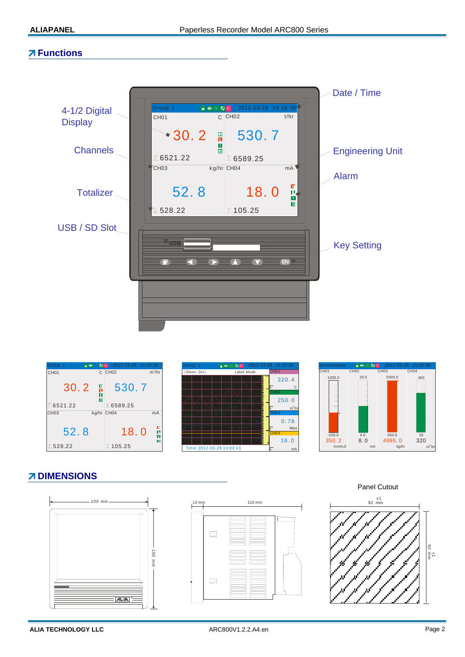### **Functions**









# **Z DIMENSIONS**





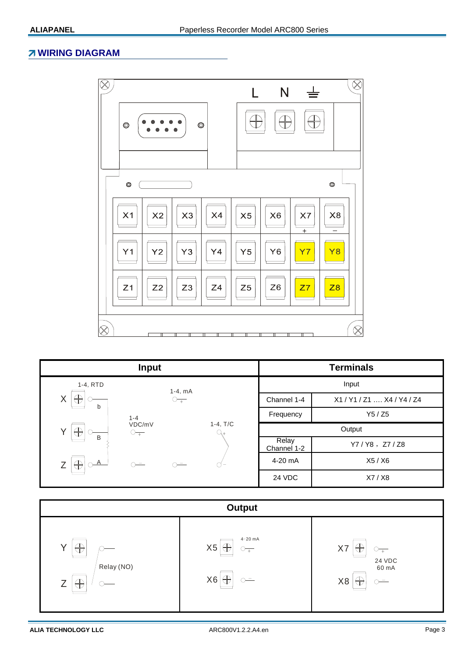### **WIRING DIAGRAM**